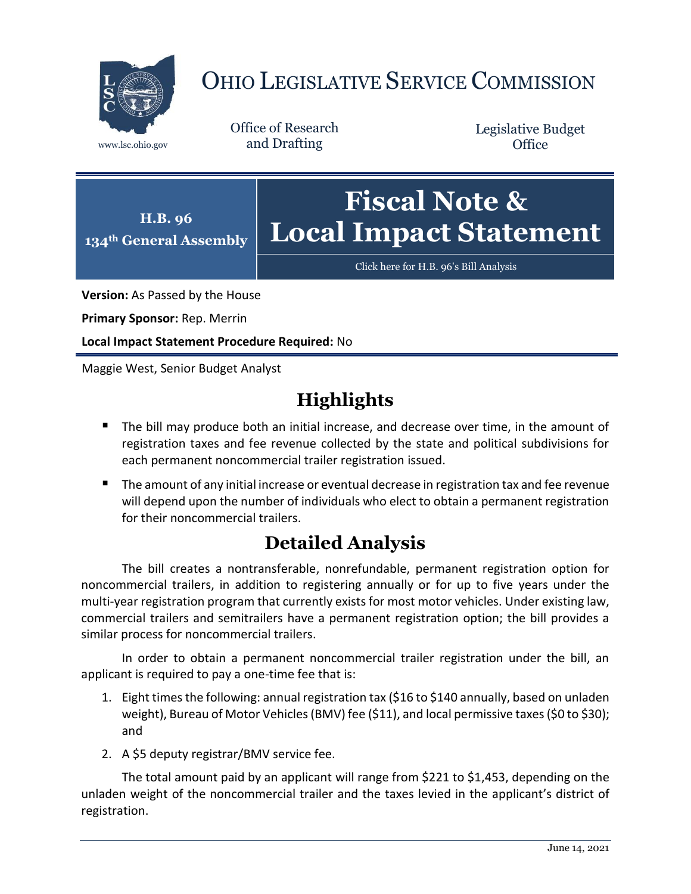

# OHIO LEGISLATIVE SERVICE COMMISSION

Office of Research www.lsc.ohio.gov and Drafting

Legislative Budget **Office** 



[Click here for H.B. 96's Bill Analysis](https://www.legislature.ohio.gov/legislation/legislation-documents?id=GA134-HB-96)

**Version:** As Passed by the House

**Primary Sponsor:** Rep. Merrin

**Local Impact Statement Procedure Required:** No

Maggie West, Senior Budget Analyst

## **Highlights**

- **The bill may produce both an initial increase, and decrease over time, in the amount of** registration taxes and fee revenue collected by the state and political subdivisions for each permanent noncommercial trailer registration issued.
- The amount of any initial increase or eventual decrease in registration tax and fee revenue will depend upon the number of individuals who elect to obtain a permanent registration for their noncommercial trailers.

## **Detailed Analysis**

The bill creates a nontransferable, nonrefundable, permanent registration option for noncommercial trailers, in addition to registering annually or for up to five years under the multi-year registration program that currently exists for most motor vehicles. Under existing law, commercial trailers and semitrailers have a permanent registration option; the bill provides a similar process for noncommercial trailers.

In order to obtain a permanent noncommercial trailer registration under the bill, an applicant is required to pay a one-time fee that is:

- 1. Eight times the following: annual registration tax (\$16 to \$140 annually, based on unladen weight), Bureau of Motor Vehicles (BMV) fee (\$11), and local permissive taxes(\$0 to \$30); and
- 2. A \$5 deputy registrar/BMV service fee.

The total amount paid by an applicant will range from \$221 to \$1,453, depending on the unladen weight of the noncommercial trailer and the taxes levied in the applicant's district of registration.